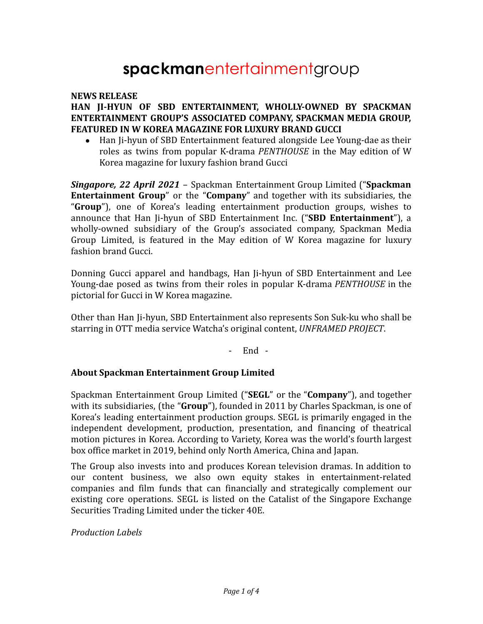# **spackman**entertainmentgroup

### **NEWS RELEASE**

# **HAN JI-HYUN OF SBD ENTERTAINMENT, WHOLLY-OWNED BY SPACKMAN ENTERTAINMENT GROUP'S ASSOCIATED COMPANY, SPACKMAN MEDIA GROUP, FEATURED IN W KOREA MAGAZINE FOR LUXURY BRAND GUCCI**

• Han Ji-hyun of SBD Entertainment featured alongside Lee Young-dae as their roles as twins from popular K-drama *PENTHOUSE* in the May edition of W Korea magazine for luxury fashion brand Gucci

*Singapore, 22 April 2021* – Spackman Entertainment Group Limited ("**Spackman Entertainment Group**" or the "**Company**" and together with its subsidiaries, the "**Group**"), one of Korea's leading entertainment production groups, wishes to announce that Han Ji-hyun of SBD Entertainment Inc. ("**SBD Entertainment**"), a wholly-owned subsidiary of the Group's associated company, Spackman Media Group Limited, is featured in the May edition of W Korea magazine for luxury fashion brand Gucci.

Donning Gucci apparel and handbags, Han Ji-hyun of SBD Entertainment and Lee Young-dae posed as twins from their roles in popular K-drama *PENTHOUSE* in the pictorial for Gucci in W Korea magazine.

Other than Han Ji-hyun, SBD Entertainment also represents Son Suk-ku who shall be starring in OTT media service Watcha's original content, *UNFRAMED PROJECT*.

- End -

#### **About Spackman Entertainment Group Limited**

Spackman Entertainment Group Limited ("**SEGL**" or the "**Company**"), and together with its subsidiaries, (the "**Group**"), founded in 2011 by Charles Spackman, is one of Korea's leading entertainment production groups. SEGL is primarily engaged in the independent development, production, presentation, and financing of theatrical motion pictures in Korea. According to Variety, Korea was the world's fourth largest box office market in 2019, behind only North America, China and Japan.

The Group also invests into and produces Korean television dramas. In addition to our content business, we also own equity stakes in entertainment-related companies and film funds that can financially and strategically complement our existing core operations. SEGL is listed on the Catalist of the Singapore Exchange Securities Trading Limited under the ticker 40E.

*Production Labels*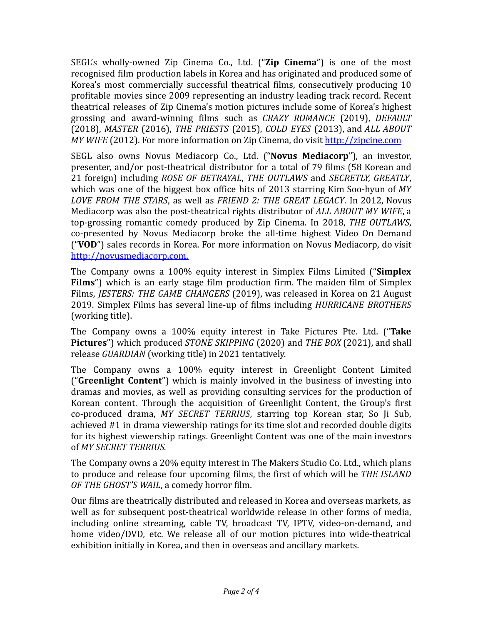SEGL's wholly-owned Zip Cinema Co., Ltd. ("**Zip Cinema**") is one of the most recognised film production labels in Korea and has originated and produced some of Korea's most commercially successful theatrical films, consecutively producing 10 profitable movies since 2009 representing an industry leading track record. Recent theatrical releases of Zip Cinema's motion pictures include some of Korea's highest grossing and award-winning films such as *CRAZY ROMANCE* (2019), *DEFAULT* (2018), *MASTER* (2016), *THE PRIESTS* (2015), *COLD EYES* (2013), and *ALL ABOUT MY WIFE* (2012). For more information on Zip Cinema, do visit <http://zipcine.com>

SEGL also owns Novus Mediacorp Co., Ltd. ("**Novus Mediacorp**"), an investor, presenter, and/or post-theatrical distributor for a total of 79 films (58 Korean and 21 foreign) including *ROSE OF BETRAYAL*, *THE OUTLAWS* and *SECRETLY, GREATLY*, which was one of the biggest box office hits of 2013 starring Kim Soo-hyun of *MY LOVE FROM THE STARS*, as well as *FRIEND 2: THE GREAT LEGACY*. In 2012, Novus Mediacorp was also the post-theatrical rights distributor of *ALL ABOUT MY WIFE*, a top-grossing romantic comedy produced by Zip Cinema. In 2018, *THE OUTLAWS*, co-presented by Novus Mediacorp broke the all-time highest Video On Demand ("**VOD**") sales records in Korea. For more information on Novus Mediacorp, do visit <http://novusmediacorp.com>.

The Company owns a 100% equity interest in Simplex Films Limited ("**Simplex Films**") which is an early stage film production firm. The maiden film of Simplex Films, *JESTERS: THE GAME CHANGERS* (2019), was released in Korea on 21 August 2019. Simplex Films has several line-up of films including *HURRICANE BROTHERS* (working title).

The Company owns a 100% equity interest in Take Pictures Pte. Ltd. ("**Take Pictures**") which produced *STONE SKIPPING* (2020) and *THE BOX* (2021), and shall release *GUARDIAN* (working title) in 2021 tentatively.

The Company owns a 100% equity interest in Greenlight Content Limited ("**Greenlight Content**") which is mainly involved in the business of investing into dramas and movies, as well as providing consulting services for the production of Korean content. Through the acquisition of Greenlight Content, the Group's first co-produced drama, *MY SECRET TERRIUS*, starring top Korean star, So Ji Sub, achieved #1 in drama viewership ratings for its time slot and recorded double digits for its highest viewership ratings. Greenlight Content was one of the main investors of *MY SECRET TERRIUS.*

The Company owns a 20% equity interest in The Makers Studio Co. Ltd., which plans to produce and release four upcoming films, the first of which will be *THE ISLAND OF THE GHOST'S WAIL*, a comedy horror film.

Our films are theatrically distributed and released in Korea and overseas markets, as well as for subsequent post-theatrical worldwide release in other forms of media, including online streaming, cable TV, broadcast TV, IPTV, video-on-demand, and home video/DVD, etc. We release all of our motion pictures into wide-theatrical exhibition initially in Korea, and then in overseas and ancillary markets.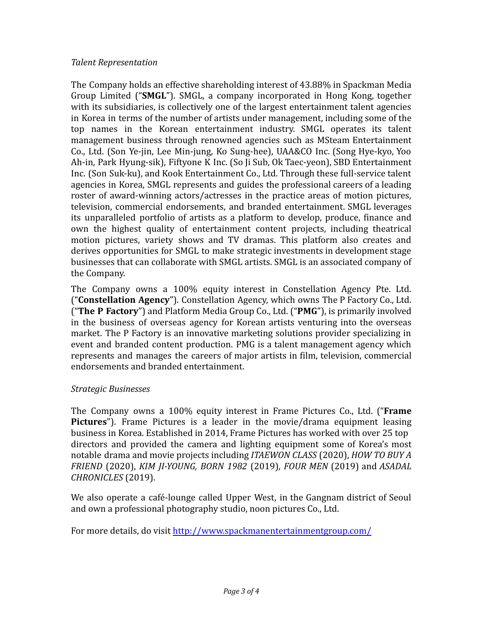# *Talent Representation*

The Company holds an effective shareholding interest of 43.88% in Spackman Media Group Limited ("**SMGL**"). SMGL, a company incorporated in Hong Kong, together with its subsidiaries, is collectively one of the largest entertainment talent agencies in Korea in terms of the number of artists under management, including some of the top names in the Korean entertainment industry. SMGL operates its talent management business through renowned agencies such as MSteam Entertainment Co., Ltd. (Son Ye-jin, Lee Min-jung, Ko Sung-hee), UAA&CO Inc. (Song Hye-kyo, Yoo Ah-in, Park Hyung-sik), Fiftyone K Inc. (So Ji Sub, Ok Taec-yeon), SBD Entertainment Inc. (Son Suk-ku), and Kook Entertainment Co., Ltd. Through these full-service talent agencies in Korea, SMGL represents and guides the professional careers of a leading roster of award-winning actors/actresses in the practice areas of motion pictures, television, commercial endorsements, and branded entertainment. SMGL leverages its unparalleled portfolio of artists as a platform to develop, produce, finance and own the highest quality of entertainment content projects, including theatrical motion pictures, variety shows and TV dramas. This platform also creates and derives opportunities for SMGL to make strategic investments in development stage businesses that can collaborate with SMGL artists. SMGL is an associated company of the Company.

The Company owns a 100% equity interest in Constellation Agency Pte. Ltd. ("**Constellation Agency**"). Constellation Agency, which owns The P Factory Co., Ltd. ("**The P Factory**") and Platform Media Group Co., Ltd. ("**PMG**"), is primarily involved in the business of overseas agency for Korean artists venturing into the overseas market. The P Factory is an innovative marketing solutions provider specializing in event and branded content production. PMG is a talent management agency which represents and manages the careers of major artists in film, television, commercial endorsements and branded entertainment.

# *Strategic Businesses*

The Company owns a 100% equity interest in Frame Pictures Co., Ltd. ("**Frame Pictures**"). Frame Pictures is a leader in the movie/drama equipment leasing business in Korea. Established in 2014, Frame Pictures has worked with over 25 top directors and provided the camera and lighting equipment some of Korea's most notable drama and movie projects including *ITAEWON CLASS* (2020), *HOW TO BUY A FRIEND* (2020), *KIM JI-YOUNG, BORN 1982* (2019), *FOUR MEN* (2019) and *ASADAL CHRONICLES* (2019).

We also operate a café-lounge called Upper West, in the Gangnam district of Seoul and own a professional photography studio, noon pictures Co., Ltd.

For more details, do visit <http://www.spackmanentertainmentgroup.com/>